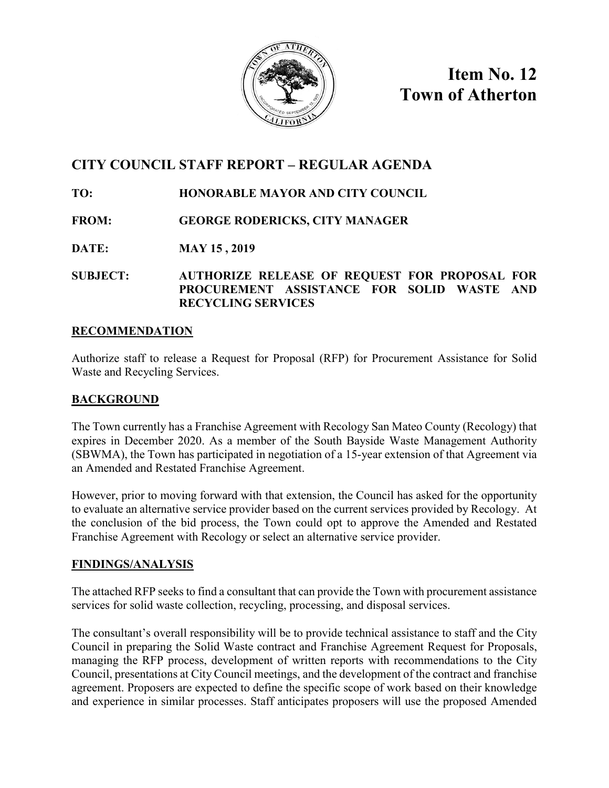

**Item No. 12 Town of Atherton**

# **CITY COUNCIL STAFF REPORT – REGULAR AGENDA**

## **TO: HONORABLE MAYOR AND CITY COUNCIL**

## **FROM: GEORGE RODERICKS, CITY MANAGER**

## **DATE: MAY 15 , 2019**

### **SUBJECT: AUTHORIZE RELEASE OF REQUEST FOR PROPOSAL FOR PROCUREMENT ASSISTANCE FOR SOLID WASTE AND RECYCLING SERVICES**

### **RECOMMENDATION**

Authorize staff to release a Request for Proposal (RFP) for Procurement Assistance for Solid Waste and Recycling Services.

## **BACKGROUND**

The Town currently has a Franchise Agreement with Recology San Mateo County (Recology) that expires in December 2020. As a member of the South Bayside Waste Management Authority (SBWMA), the Town has participated in negotiation of a 15-year extension of that Agreement via an Amended and Restated Franchise Agreement.

However, prior to moving forward with that extension, the Council has asked for the opportunity to evaluate an alternative service provider based on the current services provided by Recology. At the conclusion of the bid process, the Town could opt to approve the Amended and Restated Franchise Agreement with Recology or select an alternative service provider.

### **FINDINGS/ANALYSIS**

The attached RFP seeks to find a consultant that can provide the Town with procurement assistance services for solid waste collection, recycling, processing, and disposal services.

The consultant's overall responsibility will be to provide technical assistance to staff and the City Council in preparing the Solid Waste contract and Franchise Agreement Request for Proposals, managing the RFP process, development of written reports with recommendations to the City Council, presentations at City Council meetings, and the development of the contract and franchise agreement. Proposers are expected to define the specific scope of work based on their knowledge and experience in similar processes. Staff anticipates proposers will use the proposed Amended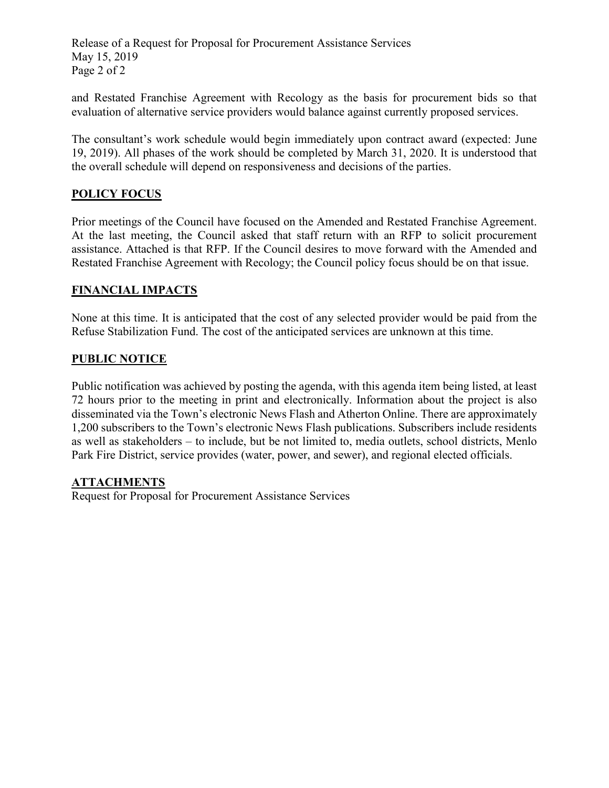Release of a Request for Proposal for Procurement Assistance Services May 15, 2019 Page 2 of 2

and Restated Franchise Agreement with Recology as the basis for procurement bids so that evaluation of alternative service providers would balance against currently proposed services.

The consultant's work schedule would begin immediately upon contract award (expected: June 19, 2019). All phases of the work should be completed by March 31, 2020. It is understood that the overall schedule will depend on responsiveness and decisions of the parties.

### **POLICY FOCUS**

Prior meetings of the Council have focused on the Amended and Restated Franchise Agreement. At the last meeting, the Council asked that staff return with an RFP to solicit procurement assistance. Attached is that RFP. If the Council desires to move forward with the Amended and Restated Franchise Agreement with Recology; the Council policy focus should be on that issue.

### **FINANCIAL IMPACTS**

None at this time. It is anticipated that the cost of any selected provider would be paid from the Refuse Stabilization Fund. The cost of the anticipated services are unknown at this time.

### **PUBLIC NOTICE**

Public notification was achieved by posting the agenda, with this agenda item being listed, at least 72 hours prior to the meeting in print and electronically. Information about the project is also disseminated via the Town's electronic News Flash and Atherton Online. There are approximately 1,200 subscribers to the Town's electronic News Flash publications. Subscribers include residents as well as stakeholders – to include, but be not limited to, media outlets, school districts, Menlo Park Fire District, service provides (water, power, and sewer), and regional elected officials.

#### **ATTACHMENTS**

Request for Proposal for Procurement Assistance Services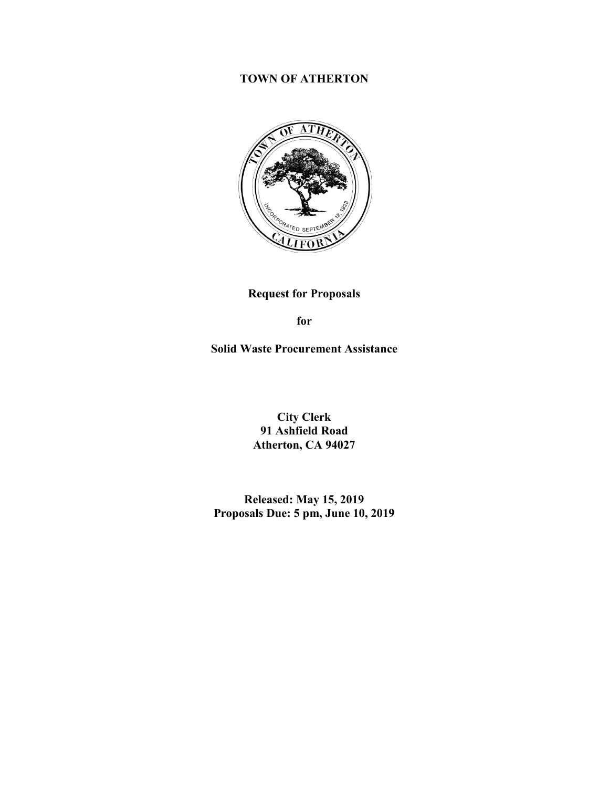## **TOWN OF ATHERTON**



**Request for Proposals**

**for**

**Solid Waste Procurement Assistance**

**City Clerk 91 Ashfield Road Atherton, CA 94027**

**Released: May 15, 2019 Proposals Due: 5 pm, June 10, 2019**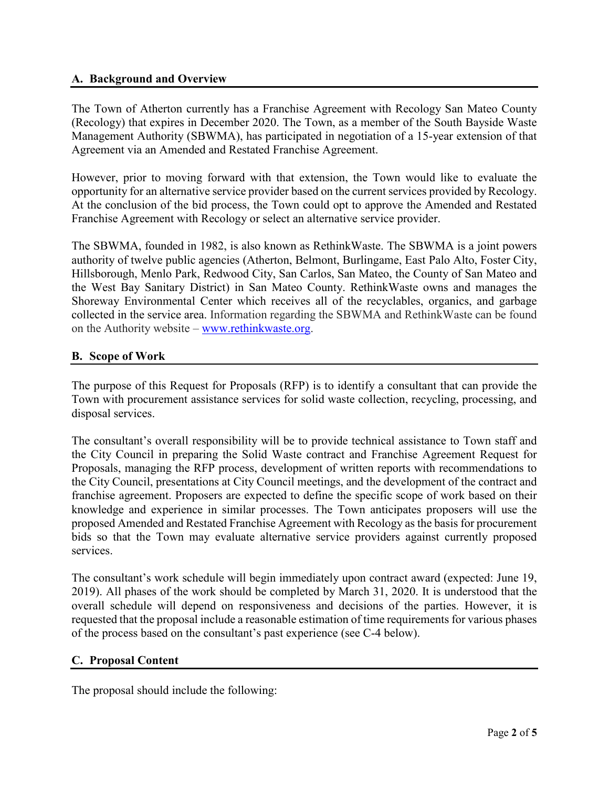#### **A. Background and Overview**

The Town of Atherton currently has a Franchise Agreement with Recology San Mateo County (Recology) that expires in December 2020. The Town, as a member of the South Bayside Waste Management Authority (SBWMA), has participated in negotiation of a 15-year extension of that Agreement via an Amended and Restated Franchise Agreement.

However, prior to moving forward with that extension, the Town would like to evaluate the opportunity for an alternative service provider based on the current services provided by Recology. At the conclusion of the bid process, the Town could opt to approve the Amended and Restated Franchise Agreement with Recology or select an alternative service provider.

The SBWMA, founded in 1982, is also known as RethinkWaste. The SBWMA is a joint powers authority of twelve public agencies (Atherton, Belmont, Burlingame, East Palo Alto, Foster City, Hillsborough, Menlo Park, Redwood City, San Carlos, San Mateo, the County of San Mateo and the West Bay Sanitary District) in San Mateo County. RethinkWaste owns and manages the Shoreway Environmental Center which receives all of the recyclables, organics, and garbage collected in the service area. Information regarding the SBWMA and RethinkWaste can be found on the Authority website – [www.rethinkwaste.org.](http://www.rethinkwaste.org/)

### **B. Scope of Work**

The purpose of this Request for Proposals (RFP) is to identify a consultant that can provide the Town with procurement assistance services for solid waste collection, recycling, processing, and disposal services.

The consultant's overall responsibility will be to provide technical assistance to Town staff and the City Council in preparing the Solid Waste contract and Franchise Agreement Request for Proposals, managing the RFP process, development of written reports with recommendations to the City Council, presentations at City Council meetings, and the development of the contract and franchise agreement. Proposers are expected to define the specific scope of work based on their knowledge and experience in similar processes. The Town anticipates proposers will use the proposed Amended and Restated Franchise Agreement with Recology as the basis for procurement bids so that the Town may evaluate alternative service providers against currently proposed services.

The consultant's work schedule will begin immediately upon contract award (expected: June 19, 2019). All phases of the work should be completed by March 31, 2020. It is understood that the overall schedule will depend on responsiveness and decisions of the parties. However, it is requested that the proposal include a reasonable estimation of time requirements for various phases of the process based on the consultant's past experience (see C-4 below).

#### **C. Proposal Content**

The proposal should include the following: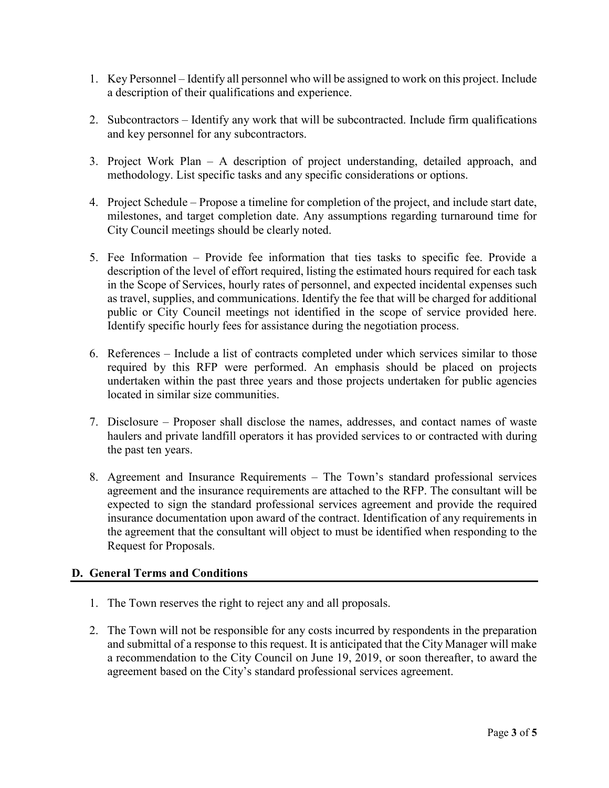- 1. Key Personnel Identify all personnel who will be assigned to work on this project. Include a description of their qualifications and experience.
- 2. Subcontractors Identify any work that will be subcontracted. Include firm qualifications and key personnel for any subcontractors.
- 3. Project Work Plan A description of project understanding, detailed approach, and methodology. List specific tasks and any specific considerations or options.
- 4. Project Schedule Propose a timeline for completion of the project, and include start date, milestones, and target completion date. Any assumptions regarding turnaround time for City Council meetings should be clearly noted.
- 5. Fee Information Provide fee information that ties tasks to specific fee. Provide a description of the level of effort required, listing the estimated hours required for each task in the Scope of Services, hourly rates of personnel, and expected incidental expenses such as travel, supplies, and communications. Identify the fee that will be charged for additional public or City Council meetings not identified in the scope of service provided here. Identify specific hourly fees for assistance during the negotiation process.
- 6. References Include a list of contracts completed under which services similar to those required by this RFP were performed. An emphasis should be placed on projects undertaken within the past three years and those projects undertaken for public agencies located in similar size communities.
- 7. Disclosure Proposer shall disclose the names, addresses, and contact names of waste haulers and private landfill operators it has provided services to or contracted with during the past ten years.
- 8. Agreement and Insurance Requirements The Town's standard professional services agreement and the insurance requirements are attached to the RFP. The consultant will be expected to sign the standard professional services agreement and provide the required insurance documentation upon award of the contract. Identification of any requirements in the agreement that the consultant will object to must be identified when responding to the Request for Proposals.

### **D. General Terms and Conditions**

- 1. The Town reserves the right to reject any and all proposals.
- 2. The Town will not be responsible for any costs incurred by respondents in the preparation and submittal of a response to this request. It is anticipated that the City Manager will make a recommendation to the City Council on June 19, 2019, or soon thereafter, to award the agreement based on the City's standard professional services agreement.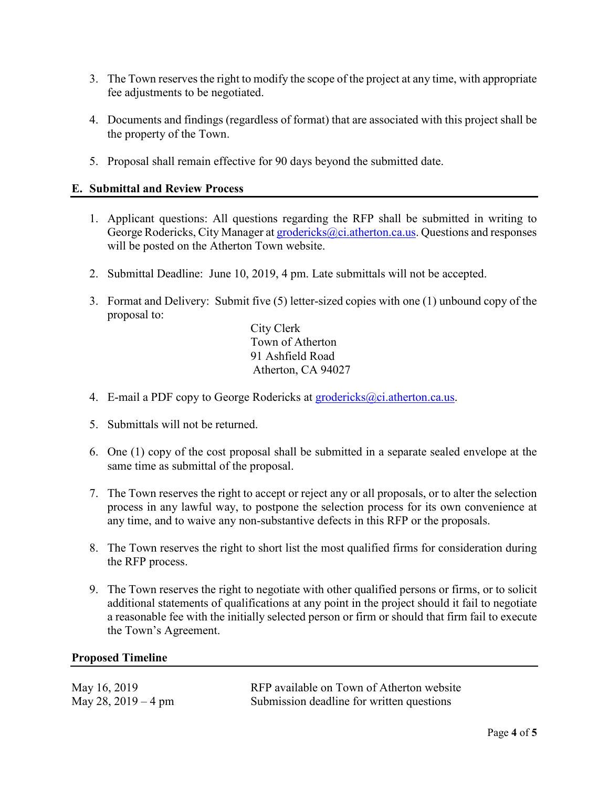- 3. The Town reserves the right to modify the scope of the project at any time, with appropriate fee adjustments to be negotiated.
- 4. Documents and findings (regardless of format) that are associated with this project shall be the property of the Town.
- 5. Proposal shall remain effective for 90 days beyond the submitted date.

#### **E. Submittal and Review Process**

- 1. Applicant questions: All questions regarding the RFP shall be submitted in writing to George Rodericks, City Manager at [grodericks@ci.atherton.ca.us.](mailto:grodericks@ci.atherton.ca.us) Questions and responses will be posted on the Atherton Town website.
- 2. Submittal Deadline: June 10, 2019, 4 pm. Late submittals will not be accepted.
- 3. Format and Delivery: Submit five (5) letter-sized copies with one (1) unbound copy of the proposal to:

City Clerk Town of Atherton 91 Ashfield Road Atherton, CA 94027

- 4. E-mail a PDF copy to George Rodericks at [grodericks@ci.atherton.ca.us.](mailto:grodericks@ci.atherton.ca.us)
- 5. Submittals will not be returned.
- 6. One (1) copy of the cost proposal shall be submitted in a separate sealed envelope at the same time as submittal of the proposal.
- 7. The Town reserves the right to accept or reject any or all proposals, or to alter the selection process in any lawful way, to postpone the selection process for its own convenience at any time, and to waive any non-substantive defects in this RFP or the proposals.
- 8. The Town reserves the right to short list the most qualified firms for consideration during the RFP process.
- 9. The Town reserves the right to negotiate with other qualified persons or firms, or to solicit additional statements of qualifications at any point in the project should it fail to negotiate a reasonable fee with the initially selected person or firm or should that firm fail to execute the Town's Agreement.

#### **Proposed Timeline**

| May 16, 2019        | RFP available on Town of Atherton website |
|---------------------|-------------------------------------------|
| May 28, 2019 – 4 pm | Submission deadline for written questions |